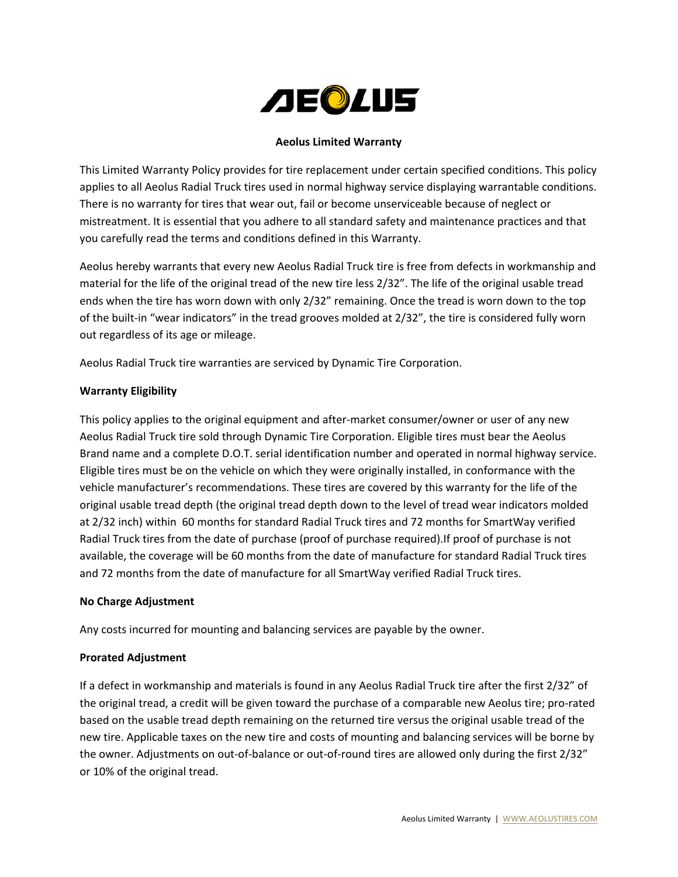

# **Aeolus Limited Warranty**

This Limited Warranty Policy provides for tire replacement under certain specified conditions. This policy applies to all Aeolus Radial Truck tires used in normal highway service displaying warrantable conditions. There is no warranty for tires that wear out, fail or become unserviceable because of neglect or mistreatment. It is essential that you adhere to all standard safety and maintenance practices and that you carefully read the terms and conditions defined in this Warranty.

Aeolus hereby warrants that every new Aeolus Radial Truck tire is free from defects in workmanship and material for the life of the original tread of the new tire less 2/32". The life of the original usable tread ends when the tire has worn down with only 2/32" remaining. Once the tread is worn down to the top of the built-in "wear indicators" in the tread grooves molded at 2/32", the tire is considered fully worn out regardless of its age or mileage.

Aeolus Radial Truck tire warranties are serviced by Dynamic Tire Corporation.

## **Warranty Eligibility**

This policy applies to the original equipment and after-market consumer/owner or user of any new Aeolus Radial Truck tire sold through Dynamic Tire Corporation. Eligible tires must bear the Aeolus Brand name and a complete D.O.T. serial identification number and operated in normal highway service. Eligible tires must be on the vehicle on which they were originally installed, in conformance with the vehicle manufacturer's recommendations. These tires are covered by this warranty for the life of the original usable tread depth (the original tread depth down to the level of tread wear indicators molded at 2/32 inch) within 60 months for standard Radial Truck tires and 72 months for SmartWay verified Radial Truck tires from the date of purchase (proof of purchase required).If proof of purchase is not available, the coverage will be 60 months from the date of manufacture for standard Radial Truck tires and 72 months from the date of manufacture for all SmartWay verified Radial Truck tires.

## **No Charge Adjustment**

Any costs incurred for mounting and balancing services are payable by the owner.

## **Prorated Adjustment**

If a defect in workmanship and materials is found in any Aeolus Radial Truck tire after the first 2/32" of the original tread, a credit will be given toward the purchase of a comparable new Aeolus tire; pro-rated based on the usable tread depth remaining on the returned tire versus the original usable tread of the new tire. Applicable taxes on the new tire and costs of mounting and balancing services will be borne by the owner. Adjustments on out-of-balance or out-of-round tires are allowed only during the first 2/32" or 10% of the original tread.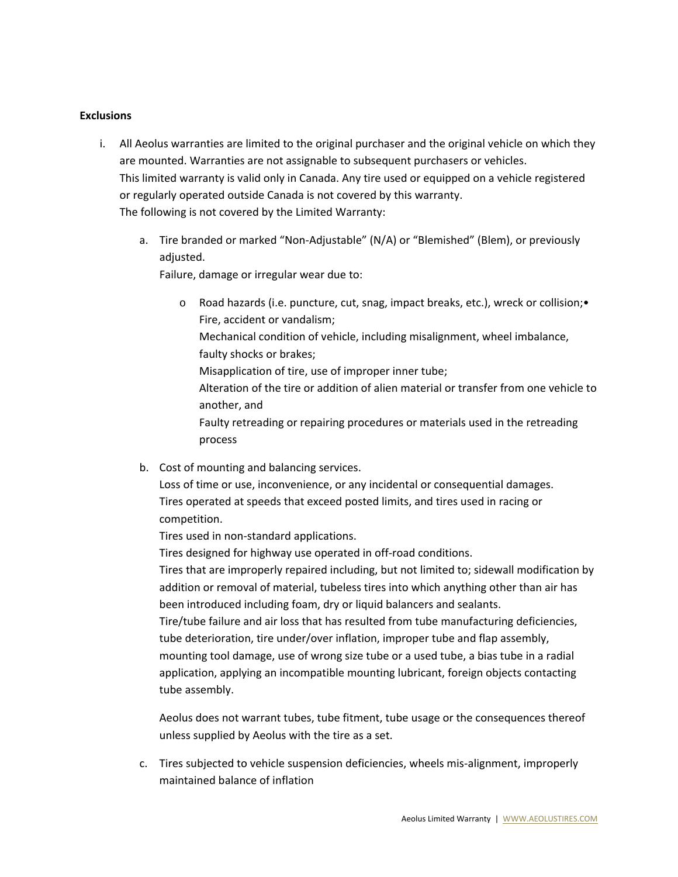#### **Exclusions**

- i. All Aeolus warranties are limited to the original purchaser and the original vehicle on which they are mounted. Warranties are not assignable to subsequent purchasers or vehicles. This limited warranty is valid only in Canada. Any tire used or equipped on a vehicle registered or regularly operated outside Canada is not covered by this warranty. The following is not covered by the Limited Warranty:
	- a. Tire branded or marked "Non-Adjustable" (N/A) or "Blemished" (Blem), or previously adjusted.

Failure, damage or irregular wear due to:

- Road hazards (i.e. puncture, cut, snag, impact breaks, etc.), wreck or collision; Fire, accident or vandalism; Mechanical condition of vehicle, including misalignment, wheel imbalance, faulty shocks or brakes; Misapplication of tire, use of improper inner tube; Alteration of the tire or addition of alien material or transfer from one vehicle to another, and Faulty retreading or repairing procedures or materials used in the retreading process
- b. Cost of mounting and balancing services.

Loss of time or use, inconvenience, or any incidental or consequential damages. Tires operated at speeds that exceed posted limits, and tires used in racing or competition.

Tires used in non-standard applications.

Tires designed for highway use operated in off-road conditions.

Tires that are improperly repaired including, but not limited to; sidewall modification by addition or removal of material, tubeless tires into which anything other than air has been introduced including foam, dry or liquid balancers and sealants.

Tire/tube failure and air loss that has resulted from tube manufacturing deficiencies, tube deterioration, tire under/over inflation, improper tube and flap assembly, mounting tool damage, use of wrong size tube or a used tube, a bias tube in a radial application, applying an incompatible mounting lubricant, foreign objects contacting tube assembly.

Aeolus does not warrant tubes, tube fitment, tube usage or the consequences thereof unless supplied by Aeolus with the tire as a set.

c. Tires subjected to vehicle suspension deficiencies, wheels mis-alignment, improperly maintained balance of inflation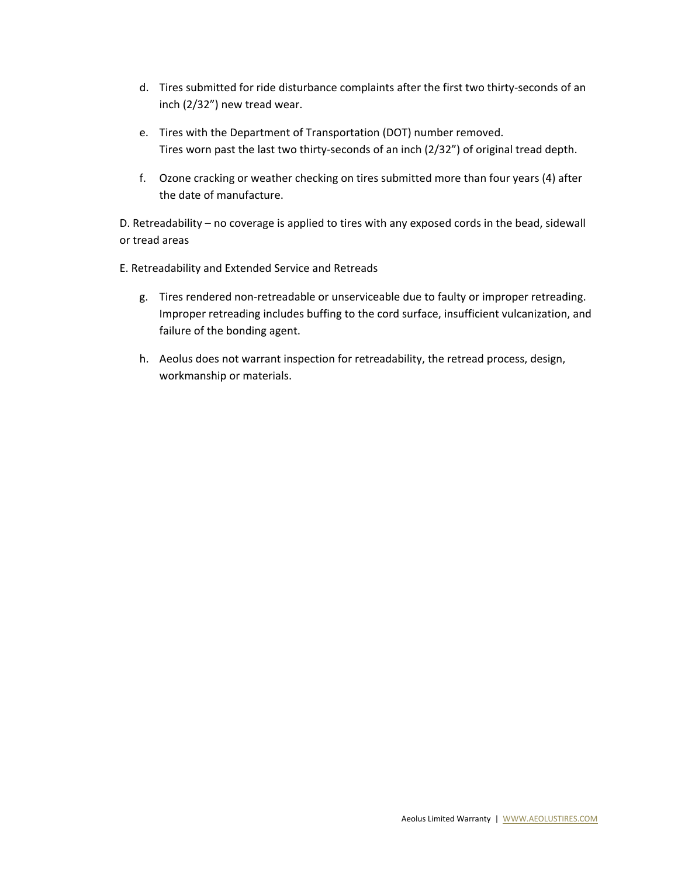- d. Tires submitted for ride disturbance complaints after the first two thirty-seconds of an inch (2/32") new tread wear.
- e. Tires with the Department of Transportation (DOT) number removed. Tires worn past the last two thirty-seconds of an inch (2/32") of original tread depth.
- f. Ozone cracking or weather checking on tires submitted more than four years (4) after the date of manufacture.

D. Retreadability – no coverage is applied to tires with any exposed cords in the bead, sidewall or tread areas

E. Retreadability and Extended Service and Retreads

- g. Tires rendered non-retreadable or unserviceable due to faulty or improper retreading. Improper retreading includes buffing to the cord surface, insufficient vulcanization, and failure of the bonding agent.
- h. Aeolus does not warrant inspection for retreadability, the retread process, design, workmanship or materials.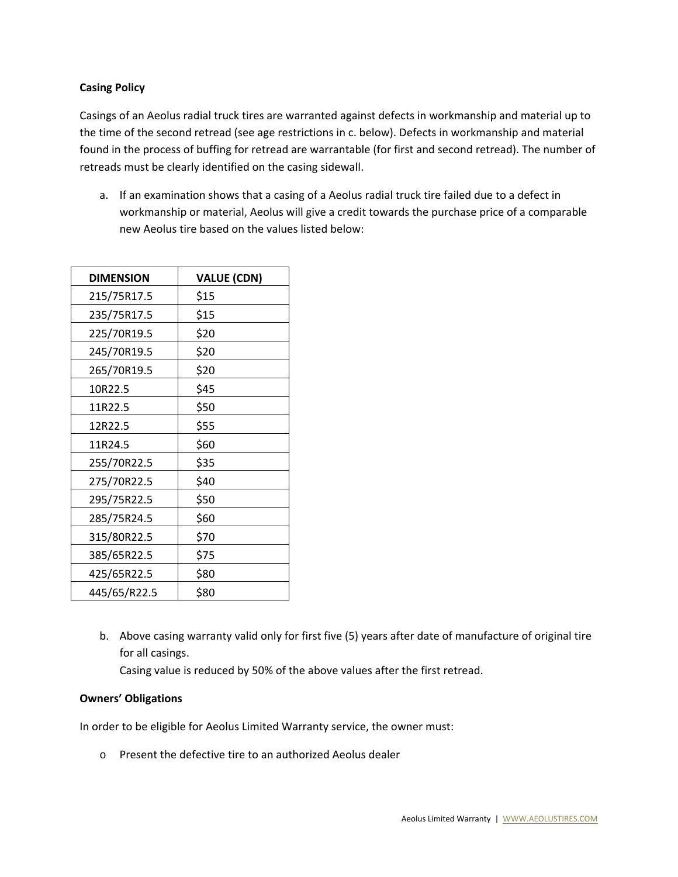# **Casing Policy**

Casings of an Aeolus radial truck tires are warranted against defects in workmanship and material up to the time of the second retread (see age restrictions in c. below). Defects in workmanship and material found in the process of buffing for retread are warrantable (for first and second retread). The number of retreads must be clearly identified on the casing sidewall.

a. If an examination shows that a casing of a Aeolus radial truck tire failed due to a defect in workmanship or material, Aeolus will give a credit towards the purchase price of a comparable new Aeolus tire based on the values listed below:

| <b>DIMENSION</b> | <b>VALUE (CDN)</b> |
|------------------|--------------------|
| 215/75R17.5      | \$15               |
| 235/75R17.5      | \$15               |
| 225/70R19.5      | \$20               |
| 245/70R19.5      | \$20               |
| 265/70R19.5      | \$20               |
| 10R22.5          | \$45               |
| 11R22.5          | \$50               |
| 12R22.5          | \$55               |
| 11R24.5          | \$60               |
| 255/70R22.5      | \$35               |
| 275/70R22.5      | \$40               |
| 295/75R22.5      | \$50               |
| 285/75R24.5      | \$60               |
| 315/80R22.5      | \$70               |
| 385/65R22.5      | \$75               |
| 425/65R22.5      | \$80               |
| 445/65/R22.5     | \$80               |

b. Above casing warranty valid only for first five (5) years after date of manufacture of original tire for all casings.

Casing value is reduced by 50% of the above values after the first retread.

## **Owners' Obligations**

In order to be eligible for Aeolus Limited Warranty service, the owner must:

o Present the defective tire to an authorized Aeolus dealer